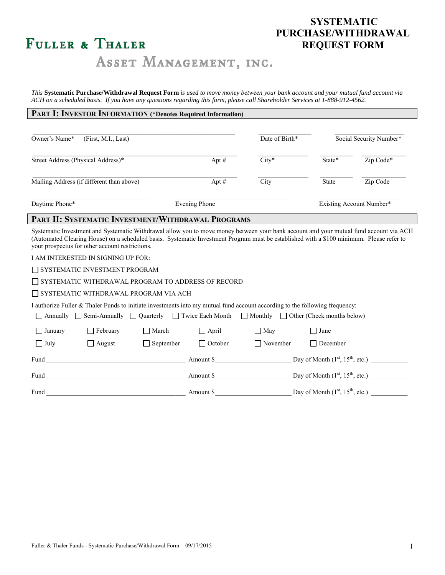# FULLER & THALER

### **SYSTEMATIC PURCHASE/WITHDRAWAL REQUEST FORM**

## ASSET MANAGEMENT, INC.

*This* **Systematic Purchase/Withdrawal Request Form** *is used to move money between your bank account and your mutual fund account via ACH on a scheduled basis. If you have any questions regarding this form, please call Shareholder Services at 1-888-912-4562.*

#### **PART I: INVESTOR INFORMATION (\*Denotes Required Information)**

| Owner's Name*<br>(First, M.I., Last)      |               | Date of Birth* |              | Social Security Number*  |
|-------------------------------------------|---------------|----------------|--------------|--------------------------|
| Street Address (Physical Address)*        | Apt $#$       | $City*$        | State*       | Zip Code*                |
| Mailing Address (if different than above) | Apt $#$       | City           | <b>State</b> | Zip Code                 |
| Daytime Phone*                            | Evening Phone |                |              | Existing Account Number* |

#### **PART II: SYSTEMATIC INVESTMENT/WITHDRAWAL PROGRAMS**

Systematic Investment and Systematic Withdrawal allow you to move money between your bank account and your mutual fund account via ACH (Automated Clearing House) on a scheduled basis. Systematic Investment Program must be established with a \$100 minimum. Please refer to your prospectus for other account restrictions.

I AM INTERESTED IN SIGNING UP FOR:

SYSTEMATIC INVESTMENT PROGRAM

SYSTEMATIC WITHDRAWAL PROGRAM TO ADDRESS OF RECORD

SYSTEMATIC WITHDRAWAL PROGRAM VIA ACH

I authorize Fuller & Thaler Funds to initiate investments into my mutual fund account according to the following frequency:

|             |                 |                  |                |                 | △ Annually △ Semi-Annually △ Quarterly △ Twice Each Month △ Monthly △ Other (Check months below) |  |
|-------------|-----------------|------------------|----------------|-----------------|--------------------------------------------------------------------------------------------------|--|
| January     | $\Box$ February | <b>■</b> March   | $\Box$ April   | $\Box$ May      | I June                                                                                           |  |
| $\Box$ July | $\Box$ August   | $\Box$ September | $\Box$ October | $\Box$ November | $\Box$ December                                                                                  |  |
| Fund        |                 |                  | Amount \$      |                 | Day of Month $(1st, 15th, etc.)$                                                                 |  |
| Fund        |                 |                  | Amount \$      |                 | Day of Month $(1st, 15th, etc.)$                                                                 |  |
| Fund        |                 |                  | Amount \$      |                 | Day of Month $(1st, 15th, etc.)$                                                                 |  |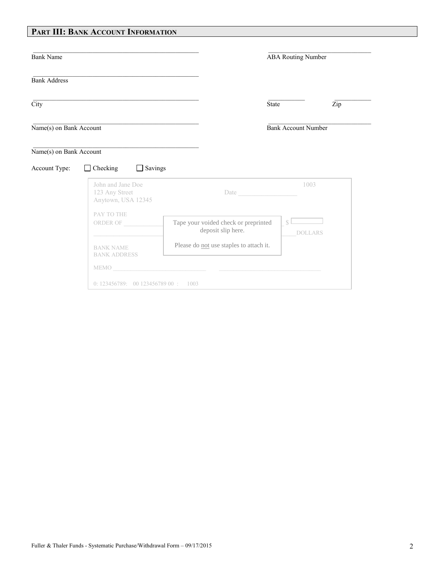### **PART III: BANK ACCOUNT INFORMATION**

| <b>Bank Name</b>         |                                                           |                                                                                                                                                                                                                                      | <b>ABA Routing Number</b>  |                |  |
|--------------------------|-----------------------------------------------------------|--------------------------------------------------------------------------------------------------------------------------------------------------------------------------------------------------------------------------------------|----------------------------|----------------|--|
| <b>Bank Address</b>      |                                                           |                                                                                                                                                                                                                                      |                            |                |  |
| $\overline{\text{City}}$ |                                                           |                                                                                                                                                                                                                                      | <b>State</b>               | Zip            |  |
| Name(s) on Bank Account  |                                                           |                                                                                                                                                                                                                                      | <b>Bank Account Number</b> |                |  |
| Name(s) on Bank Account  |                                                           |                                                                                                                                                                                                                                      |                            |                |  |
| Account Type:            | $\Box$ Checking<br>Savings<br>$\Box$                      |                                                                                                                                                                                                                                      |                            |                |  |
|                          | John and Jane Doe<br>123 Any Street<br>Anytown, USA 12345 |                                                                                                                                                                                                                                      | 1003                       |                |  |
|                          | PAY TO THE<br>ORDER OF                                    | Tape your voided check or preprinted<br>deposit slip here.                                                                                                                                                                           | $\mathcal{S}$              | <b>DOLLARS</b> |  |
|                          | <b>BANK NAME</b><br><b>BANK ADDRESS</b>                   | Please do not use staples to attach it.                                                                                                                                                                                              |                            |                |  |
|                          |                                                           | MEMO <b>ACCEPTED ACCEPTANCE IN A CONTRACT OF A CONTRACT OF A CONTRACT OF A CONTRACT OF A CONTRACT OF A CONTRACT OF A CONTRACT OF A CONTRACT OF A CONTRACT OF A CONTRACT OF A CONTRACT OF A CONTRACT OF A CONTRACT OF A CONTRACT </b> |                            |                |  |
|                          | 0: 123456789: 0012345678900: 1003                         |                                                                                                                                                                                                                                      |                            |                |  |